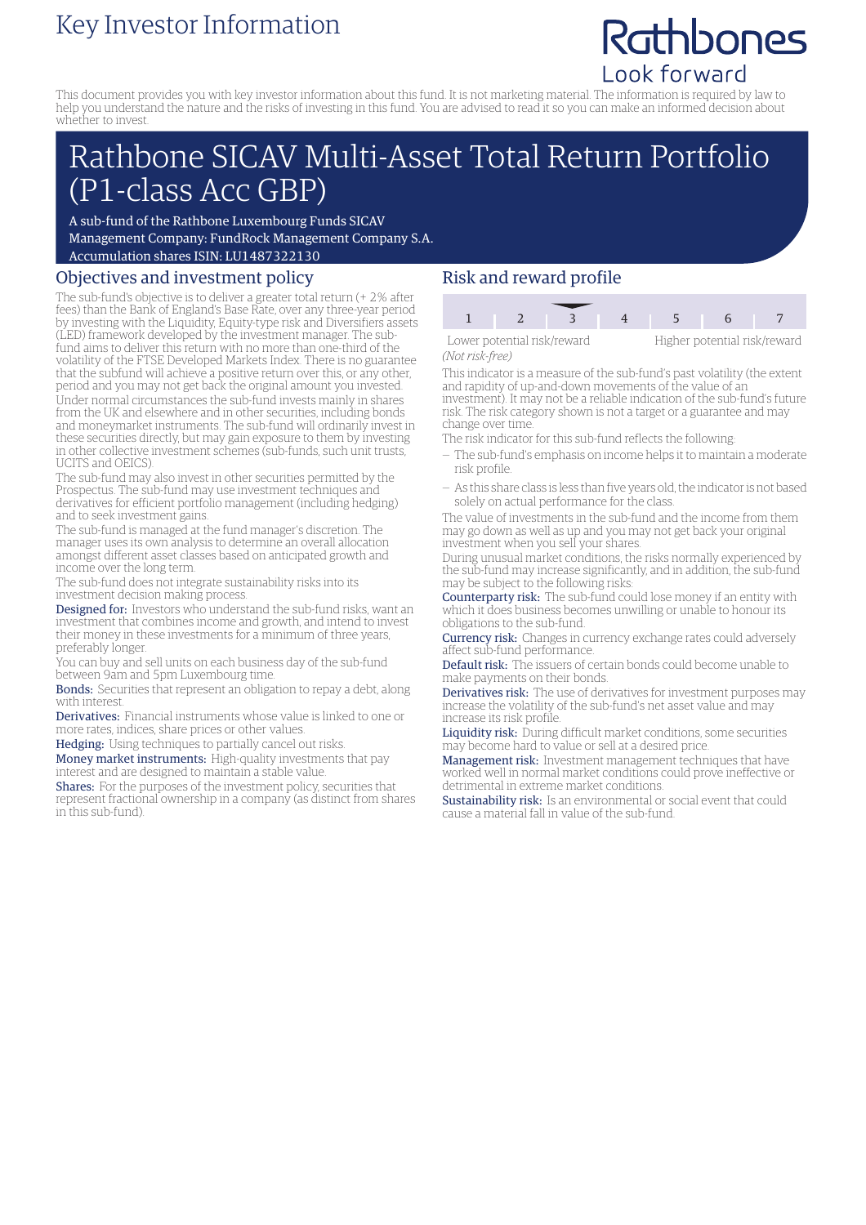# Key Investor Information

# Rathbones Look forward

This document provides you with key investor information about this fund. It is not marketing material. The information is required by law to help you understand the nature and the risks of investing in this fund. You are advised to read it so you can make an informed decision about whether to invest.

# Rathbone SICAV Multi-Asset Total Return Portfolio (P1-class Acc GBP)

A sub-fund of the Rathbone Luxembourg Funds SICAV Management Company: FundRock Management Company S.A. Accumulation shares ISIN: LU1487322130

## Objectives and investment policy

The sub-fund's objective is to deliver a greater total return (+ 2% after fees) than the Bank of England's Base Rate, over any three-year period by investing with the Liquidity, Equity-type risk and Diversifiers assets (LED) framework developed by the investment manager. The subfund aims to deliver this return with no more than one-third of the volatility of the FTSE Developed Markets Index. There is no guarantee that the subfund will achieve a positive return over this, or any other, period and you may not get back the original amount you invested. Under normal circumstances the sub-fund invests mainly in shares from the UK and elsewhere and in other securities, including bonds and moneymarket instruments. The sub-fund will ordinarily invest in these securities directly, but may gain exposure to them by investing in other collective investment schemes (sub-funds, such unit trusts, UCITS and OEICS).

The sub-fund may also invest in other securities permitted by the Prospectus. The sub-fund may use investment techniques and derivatives for efficient portfolio management (including hedging) and to seek investment gains.

The sub-fund is managed at the fund manager's discretion. The manager uses its own analysis to determine an overall allocation amongst different asset classes based on anticipated growth and income over the long term.

The sub-fund does not integrate sustainability risks into its investment decision making process.

Designed for: Investors who understand the sub-fund risks, want an investment that combines income and growth, and intend to invest their money in these investments for a minimum of three years, preferably longer.

You can buy and sell units on each business day of the sub-fund between 9am and 5pm Luxembourg time.

Bonds: Securities that represent an obligation to repay a debt, along with interest.

Derivatives: Financial instruments whose value is linked to one or more rates, indices, share prices or other values.

Hedging: Using techniques to partially cancel out risks.

Money market instruments: High-quality investments that pay interest and are designed to maintain a stable value.

Shares: For the purposes of the investment policy, securities that represent fractional ownership in a company (as distinct from shares in this sub-fund).

## Risk and reward profile



*(Not risk-free)*

This indicator is a measure of the sub-fund's past volatility (the extent and rapidity of up-and-down movements of the value of an investment). It may not be a reliable indication of the sub-fund's future

risk. The risk category shown is not a target or a guarantee and may change over time.

The risk indicator for this sub-fund reflects the following:

- The sub-fund's emphasis on income helps it to maintain a moderate risk profile.
- As this share class is less than five years old, the indicator is not based solely on actual performance for the class.

The value of investments in the sub-fund and the income from them may go down as well as up and you may not get back your original investment when you sell your shares.

During unusual market conditions, the risks normally experienced by the sub-fund may increase significantly, and in addition, the sub-fund may be subject to the following risks:

Counterparty risk: The sub-fund could lose money if an entity with which it does business becomes unwilling or unable to honour its obligations to the sub-fund.

Currency risk: Changes in currency exchange rates could adversely affect sub-fund performance.

Default risk: The issuers of certain bonds could become unable to make payments on their bonds.

Derivatives risk: The use of derivatives for investment purposes may increase the volatility of the sub-fund's net asset value and may increase its risk profile.

Liquidity risk: During difficult market conditions, some securities may become hard to value or sell at a desired price.

Management risk: Investment management techniques that have worked well in normal market conditions could prove ineffective or detrimental in extreme market conditions.

Sustainability risk: Is an environmental or social event that could cause a material fall in value of the sub-fund.